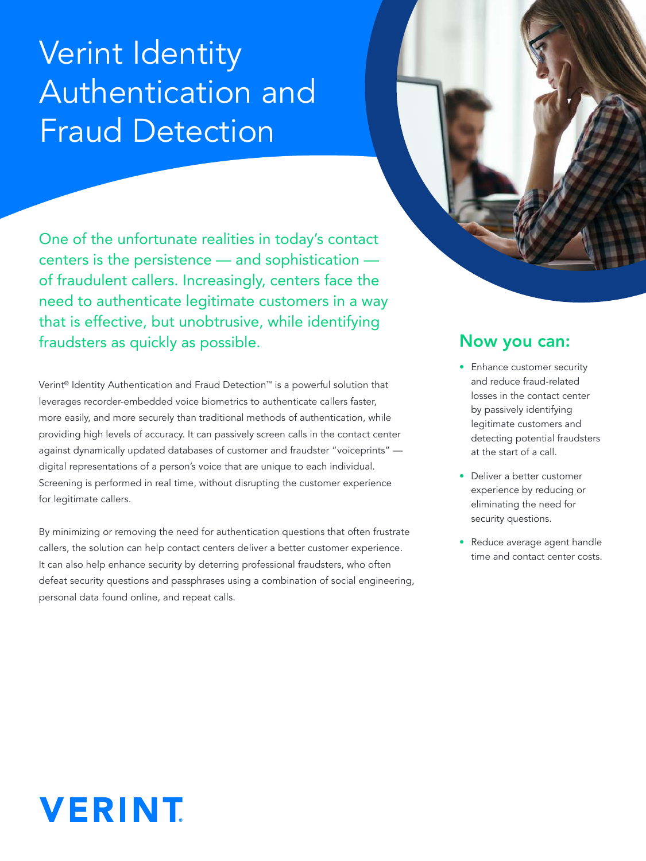# Verint Identity Authentication and Fraud Detection

One of the unfortunate realities in today's contact centers is the persistence — and sophistication of fraudulent callers. Increasingly, centers face the need to authenticate legitimate customers in a way that is effective, but unobtrusive, while identifying fraudsters as quickly as possible.

Verint® Identity Authentication and Fraud Detection™ is a powerful solution that leverages recorder-embedded voice biometrics to authenticate callers faster, more easily, and more securely than traditional methods of authentication, while providing high levels of accuracy. It can passively screen calls in the contact center against dynamically updated databases of customer and fraudster "voiceprints" digital representations of a person's voice that are unique to each individual. Screening is performed in real time, without disrupting the customer experience for legitimate callers.

By minimizing or removing the need for authentication questions that often frustrate callers, the solution can help contact centers deliver a better customer experience. It can also help enhance security by deterring professional fraudsters, who often defeat security questions and passphrases using a combination of social engineering, personal data found online, and repeat calls.

### Now you can:

- Enhance customer security and reduce fraud-related losses in the contact center by passively identifying legitimate customers and detecting potential fraudsters at the start of a call.
- Deliver a better customer experience by reducing or eliminating the need for security questions.
- Reduce average agent handle time and contact center costs.

# **VERINT**